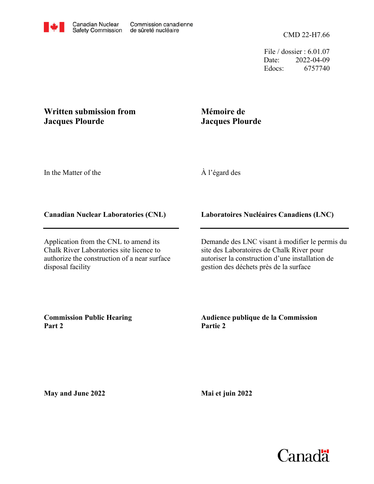File / dossier : 6.01.07 Date: 2022-04-09 Edocs: 6757740

## **Written submission from Jacques Plourde**

## **Mémoire de Jacques Plourde**

In the Matter of the

À l'égard des

## **Canadian Nuclear Laboratories (CNL)**

Application from the CNL to amend its Chalk River Laboratories site licence to authorize the construction of a near surface disposal facility

**Laboratoires Nucléaires Canadiens (LNC)**

Demande des LNC visant à modifier le permis du site des Laboratoires de Chalk River pour autoriser la construction d'une installation de gestion des déchets près de la surface

**Commission Public Hearing Part 2**

**Audience publique de la Commission Partie 2**

**May and June 2022**

**Mai et juin 2022**

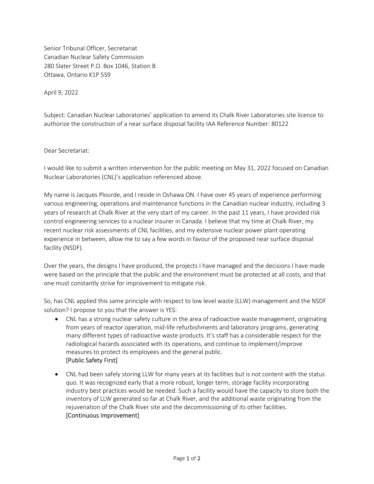Senior Tribunal Officer, Secretariat Canadian Nuclear Safety Commission 280 Slater Street P.O. Box 1046, Station B Ottawa, Ontario K1P 5S9

April 9, 2022

Subject: Canadian Nuclear Laboratories' application to amend its Chalk River Laboratories site licence to authorize the construction of a near surface disposal facility IAA Reference Number: 80122

Dear Secretariat:

I would like to submit a written intervention for the public meeting on May 31, 2022 focused on Canadian Nuclear Laboratories (CNL)'s application referenced above.

My name is Jacques Plourde, and I reside in Oshawa ON. I have over 45 years of experience performing various engineering, operations and maintenance functions in the Canadian nuclear industry, including 3 years of research at Chalk River at the very start of my career. In the past 11 years, I have provided risk control engineering services to a nuclear insurer in Canada. I believe that my time at Chalk River, my recent nuclear risk assessments of CNL facilities, and my extensive nuclear power plant operating experience in between, allow me to say a few words in favour of the proposed near surface disposal facility (NSDF).

Over the years, the designs I have produced, the projects I have managed and the decisions I have made were based on the principle that the public and the environment must be protected at all costs, and that one must constantly strive for improvement to mitigate risk.

So, has CNL applied this same principle with respect to low level waste (LLW) management and the NSDF solution? I propose to you that the answer is YES:

- CNL has a strong nuclear safety culture in the area of radioactive waste management, originating from years of reactor operation, mid-life refurbishments and laboratory programs, generating many different types of radioactive waste products. It's staff has a considerable respect for the radiological hazards associated with its operations, and continue to implement/improve measures to protect its employees and the general public. [Public Safety First]
- CNL had been safely storing LLW for many years at its facilities but is not content with the status quo. It was recognized early that a more robust, longer term, storage facility incorporating industry best practices would be needed. Such a facility would have the capacity to store both the inventory of LLW generated so far at Chalk River, and the additional waste originating from the rejuvenation of the Chalk River site and the decommissioning of its other facilities. [Continuous Improvement]